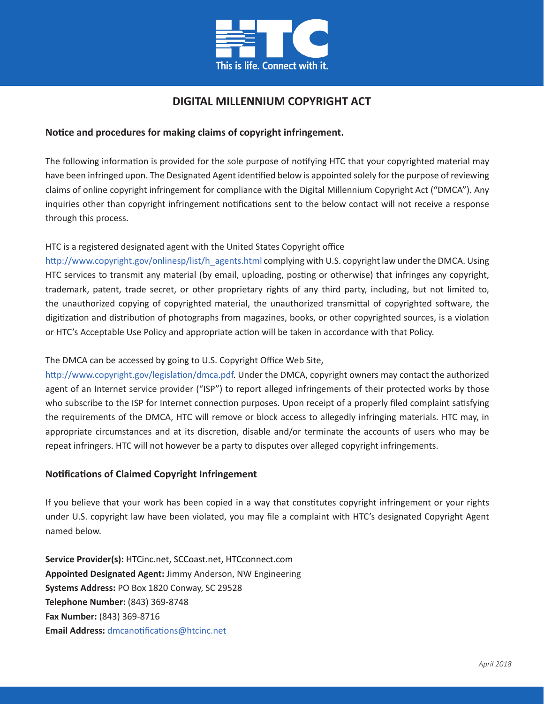

# **DIGITAL MILLENNIUM COPYRIGHT ACT**

### **Notice and procedures for making claims of copyright infringement.**

The following information is provided for the sole purpose of notifying HTC that your copyrighted material may have been infringed upon. The Designated Agent identified below is appointed solely for the purpose of reviewing claims of online copyright infringement for compliance with the Digital Millennium Copyright Act ("DMCA"). Any inquiries other than copyright infringement notifications sent to the below contact will not receive a response through this process.

#### HTC is a registered designated agent with the United States Copyright office

[http://www.copyright.gov/onlinesp/list/h\\_agents.html co](http://www.copyright.gov/onlinesp/list/h_agents.html)mplying with U.S. copyright law under the DMCA. Using HTC services to transmit any material (by email, uploading, posting or otherwise) that infringes any copyright, trademark, patent, trade secret, or other proprietary rights of any third party, including, but not limited to, the unauthorized copying of copyrighted material, the unauthorized transmittal of copyrighted software, the digitization and distribution of photographs from magazines, books, or other copyrighted sources, is a violation or HTC's Acceptable Use Policy and appropriate action will be taken in accordance with that Policy.

### The DMCA can be accessed by going to U.S. Copyright Office Web Site,

[http://www.copyright.gov/legislation/dmca.pdf. Un](http://www.copyright.gov/legislation/dmca.pdf)der the DMCA, copyright owners may contact the authorized agent of an Internet service provider ("ISP") to report alleged infringements of their protected works by those who subscribe to the ISP for Internet connection purposes. Upon receipt of a properly filed complaint satisfying the requirements of the DMCA, HTC will remove or block access to allegedly infringing materials. HTC may, in appropriate circumstances and at its discretion, disable and/or terminate the accounts of users who may be repeat infringers. HTC will not however be a party to disputes over alleged copyright infringements.

### **Notifications of Claimed Copyright Infringement**

If you believe that your work has been copied in a way that constitutes copyright infringement or your rights under U.S. copyright law have been violated, you may file a complaint with HTC's designated Copyright Agent named below.

**Service Provider(s):** HTCinc.net, SCCoast.net, HTCconnect.com **Appointed Designated Agent:** Jimmy Anderson, NW Engineering **Systems Address:** PO Box 1820 Conway, SC 29528 **Telephone Number:** (843) 369‐8748 **Fax Number:** (843) 369-8716 **Email Address:** [dmcanotifications@htcinc.net](mailto:dmcanotifications@htcinc.net)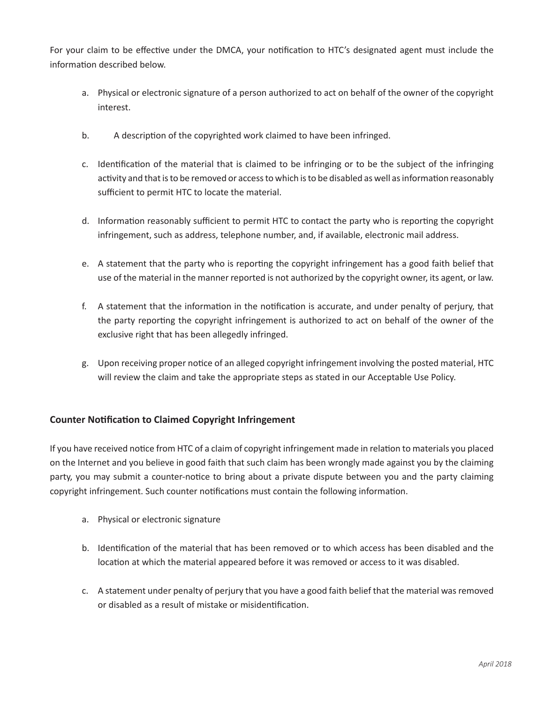For your claim to be effective under the DMCA, your notification to HTC's designated agent must include the information described below.

- a. Physical or electronic signature of a person authorized to act on behalf of the owner of the copyright interest.
- b. A description of the copyrighted work claimed to have been infringed.
- c. Identification of the material that is claimed to be infringing or to be the subject of the infringing activity and that is to be removed or access to which is to be disabled as well as information reasonably sufficient to permit HTC to locate the material.
- d. Information reasonably sufficient to permit HTC to contact the party who is reporting the copyright infringement, such as address, telephone number, and, if available, electronic mail address.
- e. A statement that the party who is reporting the copyright infringement has a good faith belief that use of the material in the manner reported is not authorized by the copyright owner, its agent, or law.
- f. A statement that the information in the notification is accurate, and under penalty of perjury, that the party reporting the copyright infringement is authorized to act on behalf of the owner of the exclusive right that has been allegedly infringed.
- g. Upon receiving proper notice of an alleged copyright infringement involving the posted material, HTC will review the claim and take the appropriate steps as stated in our Acceptable Use Policy.

## **Counter Notification to Claimed Copyright Infringement**

If you have received notice from HTC of a claim of copyright infringement made in relation to materials you placed on the Internet and you believe in good faith that such claim has been wrongly made against you by the claiming party, you may submit a counter-notice to bring about a private dispute between you and the party claiming copyright infringement. Such counter notifications must contain the following information.

- a. Physical or electronic signature
- b. Identification of the material that has been removed or to which access has been disabled and the location at which the material appeared before it was removed or access to it was disabled.
- c. A statement under penalty of perjury that you have a good faith belief that the material was removed or disabled as a result of mistake or misidentification.